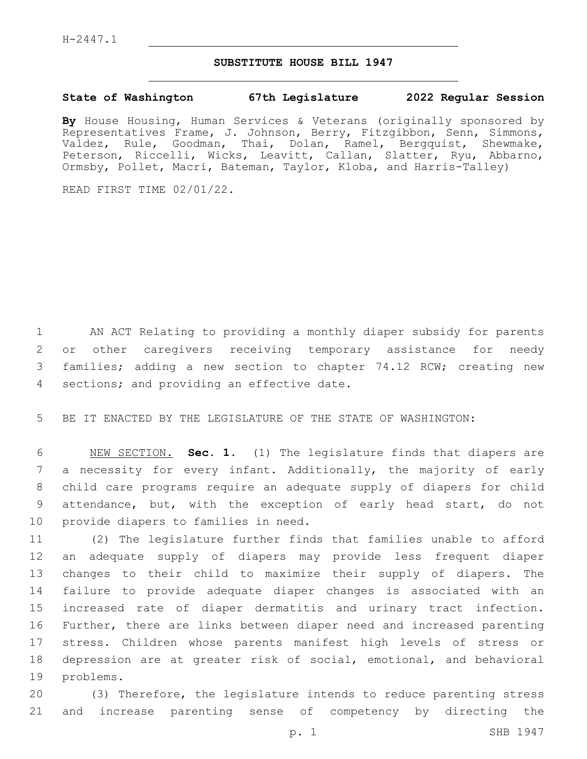## **SUBSTITUTE HOUSE BILL 1947**

## **State of Washington 67th Legislature 2022 Regular Session**

**By** House Housing, Human Services & Veterans (originally sponsored by Representatives Frame, J. Johnson, Berry, Fitzgibbon, Senn, Simmons, Valdez, Rule, Goodman, Thai, Dolan, Ramel, Bergquist, Shewmake, Peterson, Riccelli, Wicks, Leavitt, Callan, Slatter, Ryu, Abbarno, Ormsby, Pollet, Macri, Bateman, Taylor, Kloba, and Harris-Talley)

READ FIRST TIME 02/01/22.

 AN ACT Relating to providing a monthly diaper subsidy for parents or other caregivers receiving temporary assistance for needy families; adding a new section to chapter 74.12 RCW; creating new 4 sections; and providing an effective date.

BE IT ENACTED BY THE LEGISLATURE OF THE STATE OF WASHINGTON:

 NEW SECTION. **Sec. 1.** (1) The legislature finds that diapers are a necessity for every infant. Additionally, the majority of early child care programs require an adequate supply of diapers for child attendance, but, with the exception of early head start, do not provide diapers to families in need.

 (2) The legislature further finds that families unable to afford an adequate supply of diapers may provide less frequent diaper changes to their child to maximize their supply of diapers. The failure to provide adequate diaper changes is associated with an increased rate of diaper dermatitis and urinary tract infection. Further, there are links between diaper need and increased parenting stress. Children whose parents manifest high levels of stress or depression are at greater risk of social, emotional, and behavioral 19 problems.

 (3) Therefore, the legislature intends to reduce parenting stress and increase parenting sense of competency by directing the